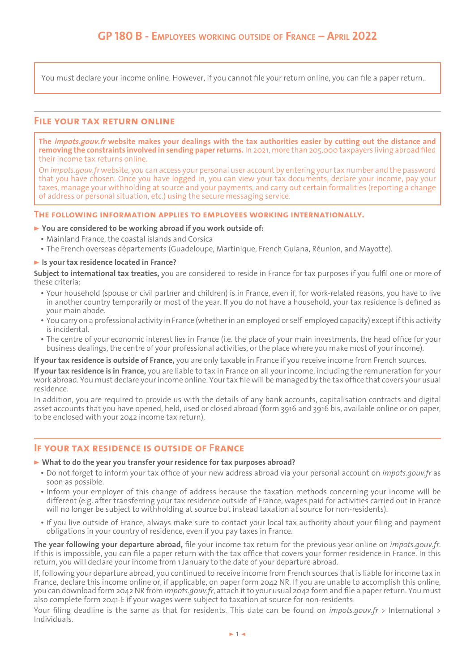You must declare your income online. However, if you cannot file your return online, you can file a paper return..

### **File your tax return online**

**The impots.gouv.fr website makes your dealings with the tax authorities easier by cutting out the distance and removing the constraints involved in sending paper returns.** In 2021, more than 205,000 taxpayers living abroad filed their income tax returns online.

On *impots.gouv.fr* website, you can access your personal user account by entering your tax number and the password that you have chosen. Once you have logged in, you can view your tax documents, declare your income, pay your taxes, manage your withholding at source and your payments, and carry out certain formalities (reporting a change of address or personal situation, etc.) using the secure messaging service.

#### **The following information applies to employees working internationally.**

#### > **You are considered to be working abroad if you work outside of:**

- Mainland France, the coastal islands and Corsica
- The French overseas départements (Guadeloupe, Martinique, French Guiana, Réunion, and Mayotte).

#### > **Is your tax residence located in France?**

**Subject to international tax treaties,** you are considered to reside in France for tax purposes if you fulfil one or more of these criteria:

- y Your household (spouse or civil partner and children) is in France, even if, for work-related reasons, you have to live in another country temporarily or most of the year. If you do not have a household, your tax residence is defined as your main abode.
- y You carry on a professional activity in France (whether in an employed or self-employed capacity) except if this activity is incidental.
- The centre of your economic interest lies in France (i.e. the place of your main investments, the head office for your business dealings, the centre of your professional activities, or the place where you make most of your income).

**If your tax residence is outside of France,** you are only taxable in France if you receive income from French sources.

**If your tax residence is in France,** you are liable to tax in France on all your income, including the remuneration for your work abroad. You must declare your income online. Your tax file will be managed by the tax office that covers your usual residence.

In addition, you are required to provide us with the details of any bank accounts, capitalisation contracts and digital asset accounts that you have opened, held, used or closed abroad (form 3916 and 3916 bis, available online or on paper, to be enclosed with your 2042 income tax return).

### **If your tax residence is outside of France**

#### > **What to do the year you transfer your residence for tax purposes abroad?**

- y Do not forget to inform your tax office of your new address abroad via your personal account on *impots.gouv.fr* as soon as possible.
- Inform your employer of this change of address because the taxation methods concerning your income will be different (e.g. after transferring your tax residence outside of France, wages paid for activities carried out in France will no longer be subject to withholding at source but instead taxation at source for non-residents).
- y If you live outside of France, always make sure to contact your local tax authority about your filing and payment obligations in your country of residence, even if you pay taxes in France.

**The year following your departure abroad,** file your income tax return for the previous year online on *impots.gouv.fr*. If this is impossible, you can file a paper return with the tax office that covers your former residence in France. In this return, you will declare your income from 1 January to the date of your departure abroad.

If, following your departure abroad, you continued to receive income from French sources that is liable for income tax in France, declare this income online or, if applicable, on paper form 2042 NR. If you are unable to accomplish this online, you can download form 2042 NR from *impots.gouv.fr*, attach it to your usual 2042 form and file a paper return. You must also complete form 2041-E if your wages were subject to taxation at source for non-residents.

Your filing deadline is the same as that for residents. This date can be found on *impots.gouv.fr* > International > Individuals.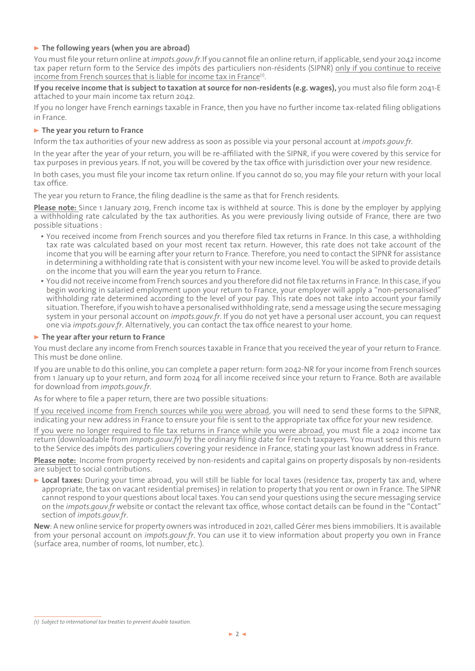### > **The following years (when you are abroad)**

You must file your return online at *impots.gouv.fr*.If you cannot file an online return, if applicable, send your 2042 income tax paper return form to the Service des impôts des particuliers non-résidents (SIPNR) only if you continue to receive income from French sources that is liable for income tax in France<sup>(1)</sup>.

**If you receive income that is subject to taxation at source for non-residents (e.g. wages)**, you must also file form 2041-E attached to your main income tax return 2042.

If you no longer have French earnings taxable in France, then you have no further income tax-related filing obligations in France.

### > **The year you return to France**

Inform the tax authorities of your new address as soon as possible via your personal account at *impots.gouv.fr*.

In the year after the year of your return, you will be re-affiliated with the SIPNR, if you were covered by this service for tax purposes in previous years. If not, you will be covered by the tax office with jurisdiction over your new residence.

In both cases, you must file your income tax return online. If you cannot do so, you may file your return with your local tax office.

The year you return to France, the filing deadline is the same as that for French residents.

**Please note:** Since 1 January 2019, French income tax is withheld at source. This is done by the employer by applying a withholding rate calculated by the tax authorities. As you were previously living outside of France, there are two possible situations :

- You received income from French sources and you therefore filed tax returns in France. In this case, a withholding tax rate was calculated based on your most recent tax return. However, this rate does not take account of the income that you will be earning after your return to France. Therefore, you need to contact the SIPNR for assistance in determining a withholding rate that is consistent with your new income level. You will be asked to provide details on the income that you will earn the year you return to France.
- y You did not receive income from French sources and you therefore did not file tax returns in France. In this case, if you begin working in salaried employment upon your return to France, your employer will apply a "non-personalised" withholding rate determined according to the level of your pay. This rate does not take into account your family situation. Therefore, if you wish to have a personalised withholding rate, send a message using the secure messaging system in your personal account on *impots.gouv.fr*. If you do not yet have a personal user account, you can request one via *impots.gouv.fr*. Alternatively, you can contact the tax office nearest to your home.

#### > **The year after your return to France**

You must declare any income from French sources taxable in France that you received the year of your return to France. This must be done online.

If you are unable to do this online, you can complete a paper return: form 2042-NR for your income from French sources from 1 January up to your return, and form 2024 for all income received since your return to France. Both are available for download from *impots.gouv.fr*.

As for where to file a paper return, there are two possible situations:

If you received income from French sources while you were abroad, you will need to send these forms to the SIPNR, indicating your new address in France to ensure your file is sent to the appropriate tax office for your new residence.

If you were no longer required to file tax returns in France while you were abroad, you must file a 2042 income tax return (downloadable from *impots.gouv.fr*) by the ordinary filing date for French taxpayers. You must send this return to the Service des impôts des particuliers covering your residence in France, stating your last known address in France.

**Please note:** Income from property received by non-residents and capital gains on property disposals by non-residents are subject to social contributions.

> **Local taxes:** During your time abroad, you will still be liable for local taxes (residence tax, property tax and, where appropriate, the tax on vacant residential premises) in relation to property that you rent or own in France. The SIPNR cannot respond to your questions about local taxes. You can send your questions using the secure messaging service on the *impots.gouv.fr* website or contact the relevant tax office, whose contact details can be found in the "Contact" section of *impots.gouv.fr*.

**New**: A new online service for property owners was introduced in 2021, called Gérer mes biens immobiliers. It is available from your personal account on *impots.gouv.fr*. You can use it to view information about property you own in France (surface area, number of rooms, lot number, etc.).

*<sup>(1)</sup> Subject to international tax treaties to prevent double taxation.*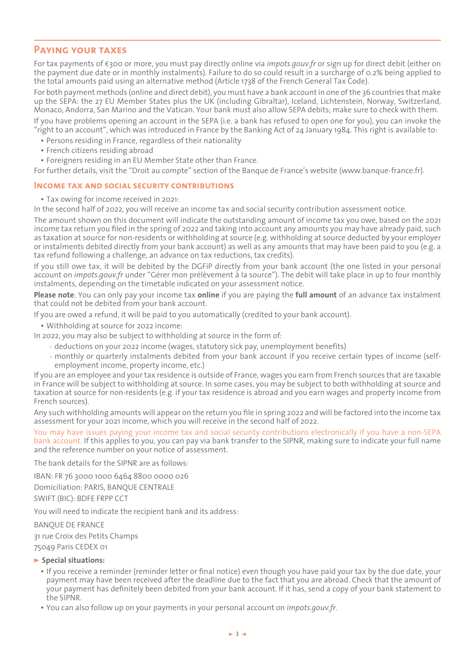# **Paying your taxes**

For tax payments of €300 or more, you must pay directly online via *impots.gouv.fr* or sign up for direct debit (either on the payment due date or in monthly instalments). Failure to do so could result in a surcharge of 0.2% being applied to the total amounts paid using an alternative method (Article 1738 of the French General Tax Code).

For both payment methods (online and direct debit), you must have a bank account in one of the 36 countries that make up the SEPA: the 27 EU Member States plus the UK (including Gibraltar), Iceland, Lichtenstein, Norway, Switzerland, Monaco, Andorra, San Marino and the Vatican. Your bank must also allow SEPA debits; make sure to check with them. If you have problems opening an account in the SEPA (i.e. a bank has refused to open one for you), you can invoke the "right to an account", which was introduced in France by the Banking Act of 24 January 1984. This right is available to:

• Persons residing in France, regardless of their nationality

- French citizens residing abroad
- Foreigners residing in an EU Member State other than France.

For further details, visit the "Droit au compte" section of the Banque de France's website (www.banque-france.fr).

#### **Income tax and social security contributions**

• Tax owing for income received in 2021:

In the second half of 2022, you will receive an income tax and social security contribution assessment notice.

The amount shown on this document will indicate the outstanding amount of income tax you owe, based on the 2021 income tax return you filed in the spring of 2022 and taking into account any amounts you may have already paid, such as taxation at source for non-residents or withholding at source (e.g. withholding at source deducted by your employer or instalments debited directly from your bank account) as well as any amounts that may have been paid to you (e.g. a tax refund following a challenge, an advance on tax reductions, tax credits).

If you still owe tax, it will be debited by the DGFiP directly from your bank account (the one listed in your personal account on *impots.gouv.fr* under "Gérer mon prélèvement à la source"). The debit will take place in up to four monthly instalments, depending on the timetable indicated on your assessment notice.

**Please note**: You can only pay your income tax **online** if you are paying the **full amount** of an advance tax instalment that could not be debited from your bank account.

If you are owed a refund, it will be paid to you automatically (credited to your bank account).

• Withholding at source for 2022 income:

In 2022, you may also be subject to withholding at source in the form of:

- deductions on your 2022 income (wages, statutory sick pay, unemployment benefits)
- monthly or quarterly instalments debited from your bank account if you receive certain types of income (selfemployment income, property income, etc.)

If you are an employee and your tax residence is outside of France, wages you earn from French sources that are taxable in France will be subject to withholding at source. In some cases, you may be subject to both withholding at source and taxation at source for non-residents (e.g. if your tax residence is abroad and you earn wages and property income from French sources).

Any such withholding amounts will appear on the return you file in spring 2022 and will be factored into the income tax assessment for your 2021 income, which you will receive in the second half of 2022.

You may have issues paying your income tax and social security contributions electronically if you have a non-SEPA bank account. If this applies to you, you can pay via bank transfer to the SIPNR, making sure to indicate your full name and the reference number on your notice of assessment.

The bank details for the SIPNR are as follows:

IBAN: FR 76 3000 1000 6464 8800 0000 026 Domiciliation: PARIS, BANQUE CENTRALE SWIFT (BIC): BDFE FRPP CCT

You will need to indicate the recipient bank and its address:

BANQUE DE FRANCE

31 rue Croix des Petits Champs

75049 Paris CEDEX 01

#### > **Special situations:**

- If you receive a reminder (reminder letter or final notice) even though you have paid your tax by the due date, your payment may have been received after the deadline due to the fact that you are abroad. Check that the amount of your payment has definitely been debited from your bank account. If it has, send a copy of your bank statement to the SIPNR.
- You can also follow up on your payments in your personal account on *impots.gouv.fr.*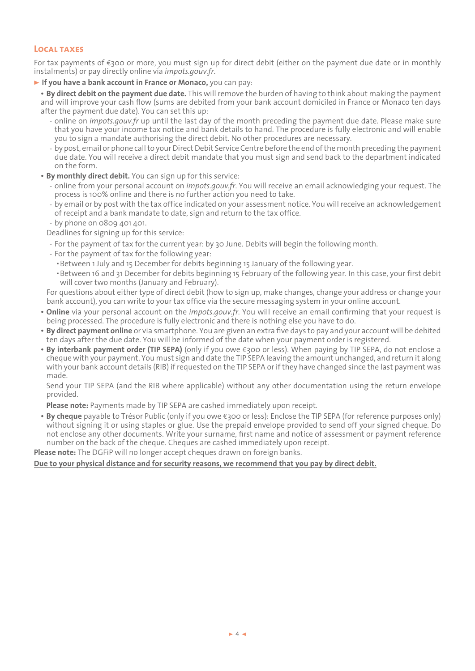# **Local taxes**

For tax payments of €300 or more, you must sign up for direct debit (either on the payment due date or in monthly instalments) or pay directly online via *impots.gouv.fr*.

> **If you have a bank account in France or Monaco,** you can pay:

y **By direct debit on the payment due date.** This will remove the burden of having to think about making the payment and will improve your cash flow (sums are debited from your bank account domiciled in France or Monaco ten days after the payment due date). You can set this up:

- online on *impots.gouv.fr* up until the last day of the month preceding the payment due date. Please make sure that you have your income tax notice and bank details to hand. The procedure is fully electronic and will enable you to sign a mandate authorising the direct debit. No other procedures are necessary.
- by post, email or phone call to your Direct Debit Service Centre before the end of the month preceding the payment due date. You will receive a direct debit mandate that you must sign and send back to the department indicated on the form.
- **By monthly direct debit.** You can sign up for this service:
	- online from your personal account on *impots.gouv.fr*. You will receive an email acknowledging your request. The process is 100% online and there is no further action you need to take.
	- by email or by post with the tax office indicated on your assessment notice. You will receive an acknowledgement of receipt and a bank mandate to date, sign and return to the tax office.
	- by phone on 0809 401 401.

Deadlines for signing up for this service:

- For the payment of tax for the current year: by 30 June. Debits will begin the following month.
- For the payment of tax for the following year:
	- Between 1 July and 15 December for debits beginning 15 January of the following year.
- Between 16 and 31 December for debits beginning 15 February of the following year. In this case, your first debit will cover two months (January and February).

For questions about either type of direct debit (how to sign up, make changes, change your address or change your bank account), you can write to your tax office via the secure messaging system in your online account.

- **Online** via your personal account on the *impots.gouv.fr.* You will receive an email confirming that your request is being processed. The procedure is fully electronic and there is nothing else you have to do.
- y **By direct payment online** or via smartphone. You are given an extra five days to pay and your account will be debited ten days after the due date. You will be informed of the date when your payment order is registered.
- **By interbank payment order (TIP SEPA)** (only if you owe €300 or less). When paying by TIP SEPA, do not enclose a cheque with your payment. You must sign and date the TIP SEPA leaving the amount unchanged, and return it along with your bank account details (RIB) if requested on the TIP SEPA or if they have changed since the last payment was made.

Send your TIP SEPA (and the RIB where applicable) without any other documentation using the return envelope provided.

**Please note:** Payments made by TIP SEPA are cashed immediately upon receipt.

y **By cheque** payable to Trésor Public (only if you owe €300 or less): Enclose the TIP SEPA (for reference purposes only) without signing it or using staples or glue. Use the prepaid envelope provided to send off your signed cheque. Do not enclose any other documents. Write your surname, first name and notice of assessment or payment reference number on the back of the cheque. Cheques are cashed immediately upon receipt.

**Please note:** The DGFiP will no longer accept cheques drawn on foreign banks.

#### **Due to your physical distance and for security reasons, we recommend that you pay by direct debit.**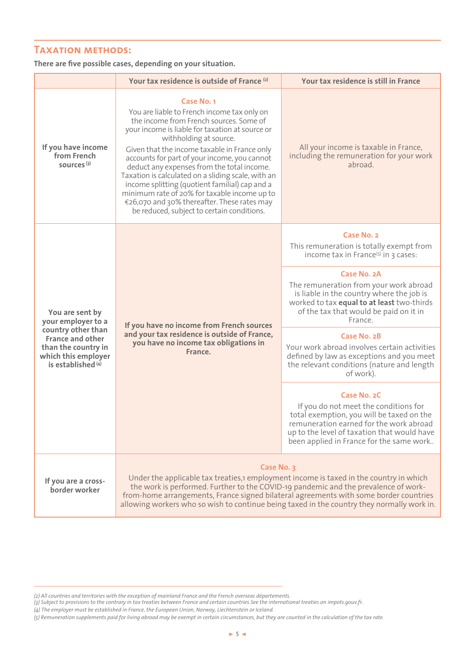# **Taxation methods:**

### **There are five possible cases, depending on your situation.**

|                                                                                                                                                                       | Your tax residence is outside of France (2)                                                                                                                                                                                                                                                                                                                                                                                                                                                                                                                                                 | Your tax residence is still in France                                                                                                                                                                                                   |
|-----------------------------------------------------------------------------------------------------------------------------------------------------------------------|---------------------------------------------------------------------------------------------------------------------------------------------------------------------------------------------------------------------------------------------------------------------------------------------------------------------------------------------------------------------------------------------------------------------------------------------------------------------------------------------------------------------------------------------------------------------------------------------|-----------------------------------------------------------------------------------------------------------------------------------------------------------------------------------------------------------------------------------------|
| If you have income<br>from French<br>sources <sup>(3)</sup>                                                                                                           | <b>Case No. 1</b><br>You are liable to French income tax only on<br>the income from French sources. Some of<br>your income is liable for taxation at source or<br>withholding at source.<br>Given that the income taxable in France only<br>accounts for part of your income, you cannot<br>deduct any expenses from the total income.<br>Taxation is calculated on a sliding scale, with an<br>income splitting (quotient familial) cap and a<br>minimum rate of 20% for taxable income up to<br>€26,070 and 30% thereafter. These rates may<br>be reduced, subject to certain conditions. | All your income is taxable in France,<br>including the remuneration for your work<br>abroad.                                                                                                                                            |
| You are sent by<br>your employer to a<br>country other than<br><b>France and other</b><br>than the country in<br>which this employer<br>is established <sup>(4)</sup> | If you have no income from French sources<br>and your tax residence is outside of France,<br>you have no income tax obligations in<br>France.                                                                                                                                                                                                                                                                                                                                                                                                                                               | Case No. 2<br>This remuneration is totally exempt from<br>income tax in France $(5)$ in 3 cases:                                                                                                                                        |
|                                                                                                                                                                       |                                                                                                                                                                                                                                                                                                                                                                                                                                                                                                                                                                                             | Case No. 2A<br>The remuneration from your work abroad<br>is liable in the country where the job is<br>worked to tax equal to at least two-thirds<br>of the tax that would be paid on it in<br>France.                                   |
|                                                                                                                                                                       |                                                                                                                                                                                                                                                                                                                                                                                                                                                                                                                                                                                             | Case No. 2B<br>Your work abroad involves certain activities<br>defined by law as exceptions and you meet<br>the relevant conditions (nature and length<br>of work).                                                                     |
|                                                                                                                                                                       |                                                                                                                                                                                                                                                                                                                                                                                                                                                                                                                                                                                             | Case No. 2C<br>If you do not meet the conditions for<br>total exemption, you will be taxed on the<br>remuneration earned for the work abroad<br>up to the level of taxation that would have<br>been applied in France for the same work |
| If you are a cross-<br>border worker                                                                                                                                  | <b>Case No. 3</b><br>Under the applicable tax treaties, 1 employment income is taxed in the country in which<br>the work is performed. Further to the COVID-19 pandemic and the prevalence of work-<br>from-home arrangements, France signed bilateral agreements with some border countries<br>allowing workers who so wish to continue being taxed in the country they normally work in.                                                                                                                                                                                                  |                                                                                                                                                                                                                                         |

*<sup>(2)</sup>All countries and territories with the exception of mainland France and the French overseas départements.*

<sup>(3)</sup> Subject to provisions to the contrary in tax treaties between France and certain countries.See the international treaties on impots.gouv.fr.

*<sup>(4)</sup>The employer must be established in France, the European Union, Norway, Liechtenstein or Iceland.*

<sup>(5)</sup> Remuneration supplements paid for living abroad may be exempt in certain circumstances, but they are counted in the calculation of the tax rate.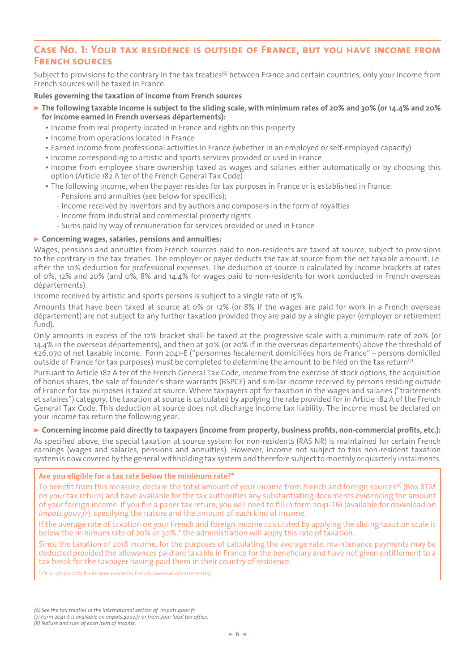# **Case No. 1: Your tax residence is outside of France, but you have income from French sources**

Subject to provisions to the contrary in the tax treaties<sup>(6)</sup> between France and certain countries, only your income from French sources will be taxed in France.

#### **Rules governing the taxation of income from French sources**

- > **The following taxable income is subject to the sliding scale, with minimum rates of 20% and 30% (or 14.4% and 20% for income earned in French overseas départements):**
	- Income from real property located in France and rights on this property
	- Income from operations located in France
	- Earned income from professional activities in France (whether in an employed or self-employed capacity)
	- Income corresponding to artistic and sports services provided or used in France
	- Income from employee share-ownership taxed as wages and salaries either automatically or by choosing this option (Article 182 A ter of the French General Tax Code)
	- The following income, when the payer resides for tax purposes in France or is established in France:
		- Pensions and annuities (see below for specifics);
		- Income received by inventors and by authors and composers in the form of royalties
		- Income from industrial and commercial property rights
		- Sums paid by way of remuneration for services provided or used in France

#### > **Concerning wages, salaries, pensions and annuities:**

Wages, pensions and annuities from French sources paid to non-residents are taxed at source, subject to provisions to the contrary in the tax treaties. The employer or payer deducts the tax at source from the net taxable amount, i.e. after the 10% deduction for professional expenses. The deduction at source is calculated by income brackets at rates of 0%, 12% and 20% (and 0%, 8% and 14.4% for wages paid to non-residents for work conducted in French overseas départements).

Income received by artistic and sports persons is subject to a single rate of 15%.

Amounts that have been taxed at source at 0% or 12% (or 8% if the wages are paid for work in a French overseas département) are not subject to any further taxation provided they are paid by a single payer (employer or retirement fund).

Only amounts in excess of the 12% bracket shall be taxed at the progressive scale with a minimum rate of 20% (or 14.4% in the overseas départements), and then at 30% (or 20% if in the overseas départements) above the threshold of €26,070 of net taxable income. Form 2041-E ("personnes fiscalement domiciliées hors de France" – persons domiciled outside of France for tax purposes) must be completed to determine the amount to be filed on the tax return( $\bar{v}$ ).

Pursuant to Article 182 A ter of the French General Tax Code, income from the exercise of stock options, the acquisition of bonus shares, the sale of founder's share warrants (BSPCE) and similar income received by persons residing outside of France for tax purposes is taxed at source. Where taxpayers opt for taxation in the wages and salaries ("traitements et salaires") category, the taxation at source is calculated by applying the rate provided for in Article 182 A of the French General Tax Code. This deduction at source does not discharge income tax liability. The income must be declared on your income tax return the following year.

#### > **Concerning income paid directly to taxpayers (income from property, business profits, non-commercial profits, etc.):**

As specified above, the special taxation at source system for non-residents (RAS NR) is maintained for certain French earnings (wages and salaries, pensions and annuities). However, income not subject to this non-resident taxation system is now covered by the general withholding tax system and therefore subject to monthly or quarterly instalments.

#### **Are you eligible for a tax rate below the minimum rate?\***

To benefit from this measure, declare the total amount of your income from French and foreign sources(8) (Box 8TM on your tax return) and have available for the tax authorities any substantiating documents evidencing the amount of your foreign income. If you file a paper tax return, you will need to fill in form 2041-TM (available for download on *impots.gouv.fr*), specifying the nature and the amount of each kind of income.

If the average rate of taxation on your French and foreign income calculated by applying the sliding taxation scale is below the minimum rate of 20% or 30%,\* the administration will apply this rate of taxation.

Since the taxation of 2018 income, for the purposes of calculating the average rate, maintenance payments may be deducted provided the allowances paid are taxable in France for the beneficiary and have not given entitlement to a tax break for the taxpayer having paid them in their country of residence.

\* Or 14.4% (or 20% for income earned in French overseas départements)

*<sup>(6)</sup>See the tax treaties in the International section of impots.gouv.fr.*

*<sup>(7)</sup>Form 2041-E is available on impots.gouv.fr or from your local tax office.*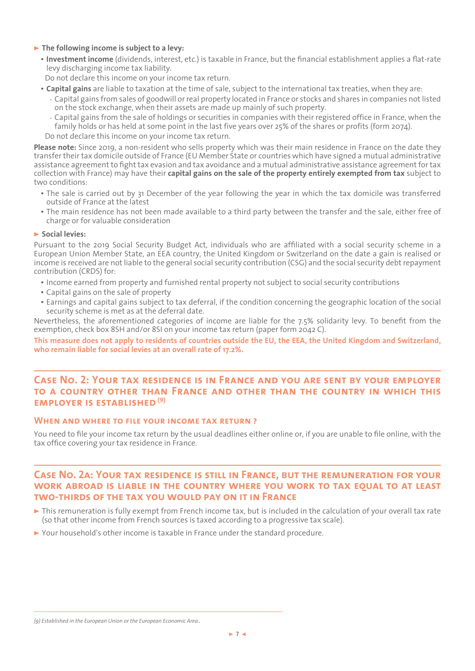#### > **The following income is subject to a levy:**

y **Investment income** (dividends, interest, etc.) is taxable in France, but the financial establishment applies a flat-rate levy discharging income tax liability.

Do not declare this income on your income tax return.

- **Capital gains** are liable to taxation at the time of sale, subject to the international tax treaties, when they are:
	- Capital gains from sales of goodwill or real property located in France or stocks and shares in companies not listed on the stock exchange, when their assets are made up mainly of such property.
	- Capital gains from the sale of holdings or securities in companies with their registered office in France, when the family holds or has held at some point in the last five years over 25% of the shares or profits (form 2074).

Do not declare this income on your income tax return.

**Please note:** Since 2019, a non-resident who sells property which was their main residence in France on the date they transfer their tax domicile outside of France (EU Member State or countries which have signed a mutual administrative assistance agreement to fight tax evasion and tax avoidance and a mutual administrative assistance agreement for tax collection with France) may have their **capital gains on the sale of the property entirely exempted from tax** subject to two conditions:

- The sale is carried out by 31 December of the year following the year in which the tax domicile was transferred outside of France at the latest
- The main residence has not been made available to a third party between the transfer and the sale, either free of charge or for valuable consideration

#### > **Social levies:**

Pursuant to the 2019 Social Security Budget Act, individuals who are affiliated with a social security scheme in a European Union Member State, an EEA country, the United Kingdom or Switzerland on the date a gain is realised or income is received are not liable to the general social security contribution (CSG) and the social security debt repayment contribution (CRDS) for:

- Income earned from property and furnished rental property not subject to social security contributions
- Capital gains on the sale of property
- Earnings and capital gains subject to tax deferral, if the condition concerning the geographic location of the social security scheme is met as at the deferral date.

Nevertheless, the aforementioned categories of income are liable for the 7.5% solidarity levy. To benefit from the exemption, check box 8SH and/or 8SI on your income tax return (paper form 2042 C).

**This measure does not apply to residents of countries outside the EU, the EEA, the United Kingdom and Switzerland, who remain liable for social levies at an overall rate of 17.2%.**

# **Case No. 2: Your tax residence is in France and you are sent by your employer to a country other than France and other than the country in which this EMPLOYER IS ESTABLISHED<sup>(9)</sup>**

#### **When and where to file your income tax return ?**

You need to file your income tax return by the usual deadlines either online or, if you are unable to file online, with the tax office covering your tax residence in France.

# **Case No. 2a: Your tax residence is still in France, but the remuneration for your**  WORK ABROAD IS LIABLE IN THE COUNTRY WHERE YOU WORK TO TAX EOUAL TO AT LEAST **two-thirds of the tax you would pay on it in France**

- > This remuneration is fully exempt from French income tax, but is included in the calculation of your overall tax rate (so that other income from French sources is taxed according to a progressive tax scale).
- > Your household's other income is taxable in France under the standard procedure.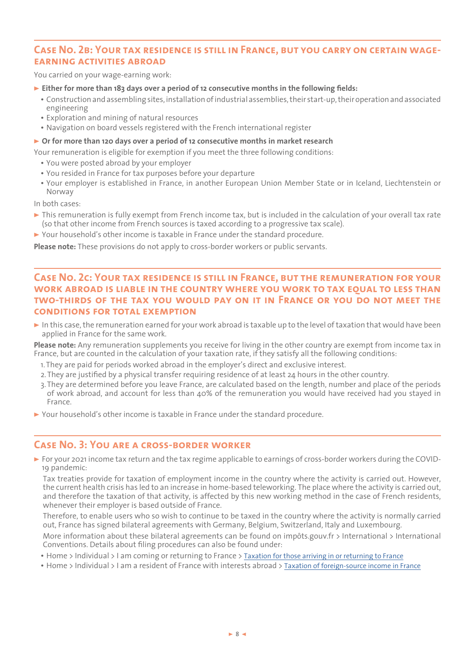# **Case No. 2b: Your tax residence is still in France, but you carry on certain wageearning activities abroad**

You carried on your wage-earning work:

- > **Either for more than 183 days over a period of 12 consecutive months in the following fields:**
	- Construction and assembling sites, installation of industrial assemblies, their start-up, their operation and associated engineering
	- Exploration and mining of natural resources
	- Navigation on board vessels registered with the French international register

#### **► Or for more than 120 days over a period of 12 consecutive months in market research**

Your remuneration is eligible for exemption if you meet the three following conditions:

- You were posted abroad by your employer
- You resided in France for tax purposes before your departure
- y Your employer is established in France, in another European Union Member State or in Iceland, Liechtenstein or Norway

In both cases:

- $\triangleright$  This remuneration is fully exempt from French income tax, but is included in the calculation of your overall tax rate (so that other income from French sources is taxed according to a progressive tax scale).
- > Your household's other income is taxable in France under the standard procedure.

**Please note:** These provisions do not apply to cross-border workers or public servants.

# **Case No. 2c: Your tax residence is still in France, but the remuneration for your work abroad is liable in the country where you work to tax equal to less than two-thirds of the tax you would pay on it in France or you do not meet the conditions for total exemption**

> In this case, the remuneration earned for your work abroad is taxable up to the level of taxation that would have been applied in France for the same work.

**Please note:** Any remuneration supplements you receive for living in the other country are exempt from income tax in France, but are counted in the calculation of your taxation rate, if they satisfy all the following conditions:

- 1.They are paid for periods worked abroad in the employer's direct and exclusive interest.
- 2.They are justified by a physical transfer requiring residence of at least 24 hours in the other country.
- 3.They are determined before you leave France, are calculated based on the length, number and place of the periods of work abroad, and account for less than 40% of the remuneration you would have received had you stayed in France.
- > Your household's other income is taxable in France under the standard procedure.

# **Case No. 3: You are a cross-border worker**

> For your 2021 income tax return and the tax regime applicable to earnings of cross-border workers during the COVID-19 pandemic:

Tax treaties provide for taxation of employment income in the country where the activity is carried out. However, the current health crisis has led to an increase in home-based teleworking. The place where the activity is carried out, and therefore the taxation of that activity, is affected by this new working method in the case of French residents, whenever their employer is based outside of France.

Therefore, to enable users who so wish to continue to be taxed in the country where the activity is normally carried out, France has signed bilateral agreements with Germany, Belgium, Switzerland, Italy and Luxembourg.

More information about these bilateral agreements can be found on impôts.gouv.fr > International > International Conventions. Details about filing procedures can also be found under:

- Home > Individual > I am coming or returning to France > [Taxation for those arriving in or returning to France](https://www.impots.gouv.fr/internationalenindividual/taxation-those-arriving-or-returning-france?l=en)
- y Home > Individual > I am a resident of France with interests abroad > [Taxation of foreign-source income in France](https://www.impots.gouv.fr/internationalenindividual/taxation-foreign-source-income-france)